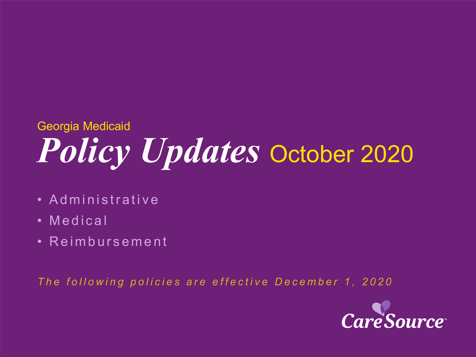# *Policy Updates* October 2020 Georgia Medicaid

- Administrative
- Medical
- Reimbursement

*The following policies are effective December 1, 2020*

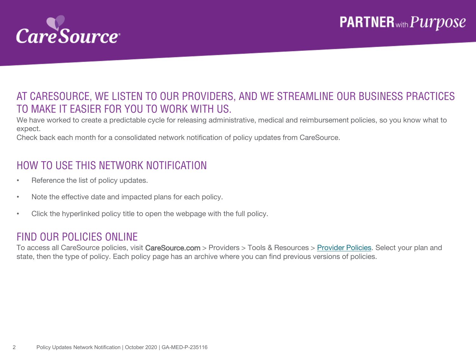

### AT CARESOURCE, WE LISTEN TO OUR PROVIDERS, AND WE STREAMLINE OUR BUSINESS PRACTICES TO MAKE IT EASIER FOR YOU TO WORK WITH US.

We have worked to create a predictable cycle for releasing administrative, medical and reimbursement policies, so you know what to expect.

Check back each month for a consolidated network notification of policy updates from CareSource.

### HOW TO USE THIS NETWORK NOTIFICATION

- Reference the list of policy updates.
- Note the effective date and impacted plans for each policy.
- Click the hyperlinked policy title to open the webpage with the full policy.

#### FIND OUR POLICIES ONLINE

To access all CareSource policies, visit CareSource.com > Providers > Tools & Resources > [Provider Policies.](https://www.caresource.com/providers/tools-resources/health-partner-policies/) Select your plan and state, then the type of policy. Each policy page has an archive where you can find previous versions of policies.